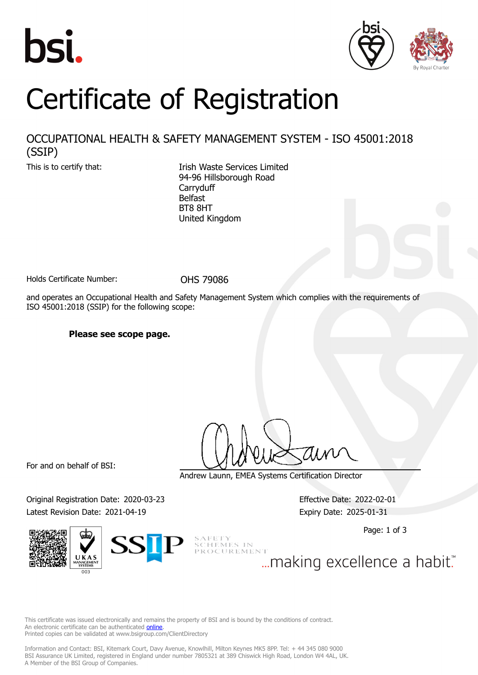





## Certificate of Registration

## OCCUPATIONAL HEALTH & SAFETY MANAGEMENT SYSTEM - ISO 45001:2018 (SSIP)

This is to certify that:<br>
Irish Waste Services Limited 94-96 Hillsborough Road **Carryduff** Belfast BT8 8HT United Kingdom

Holds Certificate Number: 0HS 79086

and operates an Occupational Health and Safety Management System which complies with the requirements of ISO 45001:2018 (SSIP) for the following scope:

**Please see scope page.**

For and on behalf of BSI:

Andrew Launn, EMEA Systems Certification Director

Original Registration Date: 2020-03-23 Effective Date: 2022-02-01 Latest Revision Date: 2021-04-19 Expiry Date: 2025-01-31

Page: 1 of 3



SCHEMES IN PROCUREMENT

... making excellence a habit."

This certificate was issued electronically and remains the property of BSI and is bound by the conditions of contract. An electronic certificate can be authenticated **[online](https://pgplus.bsigroup.com/CertificateValidation/CertificateValidator.aspx?CertificateNumber=OHS+79086&ReIssueDate=19%2f04%2f2021&Template=uk)** Printed copies can be validated at www.bsigroup.com/ClientDirectory

Information and Contact: BSI, Kitemark Court, Davy Avenue, Knowlhill, Milton Keynes MK5 8PP. Tel: + 44 345 080 9000 BSI Assurance UK Limited, registered in England under number 7805321 at 389 Chiswick High Road, London W4 4AL, UK. A Member of the BSI Group of Companies.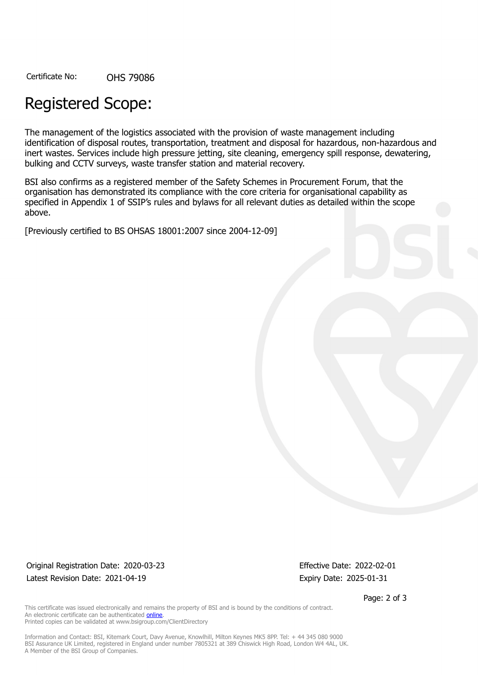Certificate No: OHS 79086

## Registered Scope:

The management of the logistics associated with the provision of waste management including identification of disposal routes, transportation, treatment and disposal for hazardous, non-hazardous and inert wastes. Services include high pressure jetting, site cleaning, emergency spill response, dewatering, bulking and CCTV surveys, waste transfer station and material recovery.

BSI also confirms as a registered member of the Safety Schemes in Procurement Forum, that the organisation has demonstrated its compliance with the core criteria for organisational capability as specified in Appendix 1 of SSIP's rules and bylaws for all relevant duties as detailed within the scope above.

[Previously certified to BS OHSAS 18001:2007 since 2004-12-09]

Original Registration Date: 2020-03-23 Effective Date: 2022-02-01 Latest Revision Date: 2021-04-19 **Expiry Date: 2025-01-31** 

Page: 2 of 3

This certificate was issued electronically and remains the property of BSI and is bound by the conditions of contract. An electronic certificate can be authenticated [online](https://pgplus.bsigroup.com/CertificateValidation/CertificateValidator.aspx?CertificateNumber=OHS+79086&ReIssueDate=19%2f04%2f2021&Template=uk). Printed copies can be validated at www.bsigroup.com/ClientDirectory

Information and Contact: BSI, Kitemark Court, Davy Avenue, Knowlhill, Milton Keynes MK5 8PP. Tel: + 44 345 080 9000 BSI Assurance UK Limited, registered in England under number 7805321 at 389 Chiswick High Road, London W4 4AL, UK. A Member of the BSI Group of Companies.